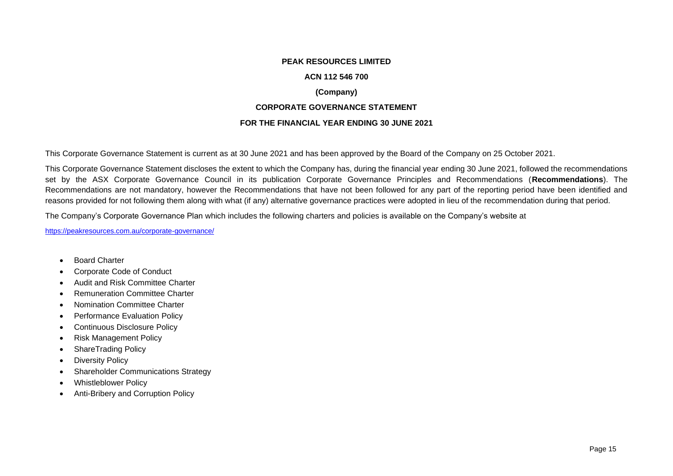#### **PEAK RESOURCES LIMITED**

### **ACN 112 546 700**

# **(Company)**

## **CORPORATE GOVERNANCE STATEMENT**

## **FOR THE FINANCIAL YEAR ENDING 30 JUNE 2021**

This Corporate Governance Statement is current as at 30 June 2021 and has been approved by the Board of the Company on 25 October 2021.

This Corporate Governance Statement discloses the extent to which the Company has, during the financial year ending 30 June 2021, followed the recommendations set by the ASX Corporate Governance Council in its publication Corporate Governance Principles and Recommendations (**Recommendations**). The Recommendations are not mandatory, however the Recommendations that have not been followed for any part of the reporting period have been identified and reasons provided for not following them along with what (if any) alternative governance practices were adopted in lieu of the recommendation during that period.

The Company's Corporate Governance Plan which includes the following charters and policies is available on the Company's website at

<https://peakresources.com.au/corporate-governance/>

- Board Charter
- Corporate Code of Conduct
- Audit and Risk Committee Charter
- Remuneration Committee Charter
- Nomination Committee Charter
- Performance Evaluation Policy
- Continuous Disclosure Policy
- Risk Management Policy
- ShareTrading Policy
- Diversity Policy
- Shareholder Communications Strategy
- Whistleblower Policy
- Anti-Bribery and Corruption Policy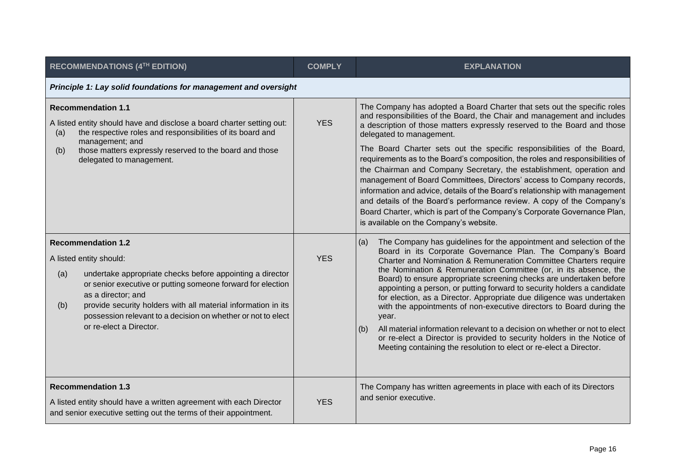| <b>RECOMMENDATIONS (4TH EDITION)</b>                                                                                                                                                                                                                                                                                                                                             | <b>COMPLY</b> | <b>EXPLANATION</b>                                                                                                                                                                                                                                                                                                                                                                                                                                                                                                                                                                                                                                                                                                                                                                                                                                      |
|----------------------------------------------------------------------------------------------------------------------------------------------------------------------------------------------------------------------------------------------------------------------------------------------------------------------------------------------------------------------------------|---------------|---------------------------------------------------------------------------------------------------------------------------------------------------------------------------------------------------------------------------------------------------------------------------------------------------------------------------------------------------------------------------------------------------------------------------------------------------------------------------------------------------------------------------------------------------------------------------------------------------------------------------------------------------------------------------------------------------------------------------------------------------------------------------------------------------------------------------------------------------------|
| Principle 1: Lay solid foundations for management and oversight                                                                                                                                                                                                                                                                                                                  |               |                                                                                                                                                                                                                                                                                                                                                                                                                                                                                                                                                                                                                                                                                                                                                                                                                                                         |
| <b>Recommendation 1.1</b><br>A listed entity should have and disclose a board charter setting out:<br>the respective roles and responsibilities of its board and<br>(a)<br>management; and<br>those matters expressly reserved to the board and those<br>(b)<br>delegated to management.                                                                                         | <b>YES</b>    | The Company has adopted a Board Charter that sets out the specific roles<br>and responsibilities of the Board, the Chair and management and includes<br>a description of those matters expressly reserved to the Board and those<br>delegated to management.<br>The Board Charter sets out the specific responsibilities of the Board,<br>requirements as to the Board's composition, the roles and responsibilities of<br>the Chairman and Company Secretary, the establishment, operation and<br>management of Board Committees, Directors' access to Company records,<br>information and advice, details of the Board's relationship with management<br>and details of the Board's performance review. A copy of the Company's<br>Board Charter, which is part of the Company's Corporate Governance Plan,<br>is available on the Company's website. |
| <b>Recommendation 1.2</b><br>A listed entity should:<br>undertake appropriate checks before appointing a director<br>(a)<br>or senior executive or putting someone forward for election<br>as a director; and<br>provide security holders with all material information in its<br>(b)<br>possession relevant to a decision on whether or not to elect<br>or re-elect a Director. | <b>YES</b>    | The Company has guidelines for the appointment and selection of the<br>(a)<br>Board in its Corporate Governance Plan. The Company's Board<br>Charter and Nomination & Remuneration Committee Charters require<br>the Nomination & Remuneration Committee (or, in its absence, the<br>Board) to ensure appropriate screening checks are undertaken before<br>appointing a person, or putting forward to security holders a candidate<br>for election, as a Director. Appropriate due diligence was undertaken<br>with the appointments of non-executive directors to Board during the<br>year.<br>All material information relevant to a decision on whether or not to elect<br>(b)<br>or re-elect a Director is provided to security holders in the Notice of<br>Meeting containing the resolution to elect or re-elect a Director.                     |
| <b>Recommendation 1.3</b><br>A listed entity should have a written agreement with each Director<br>and senior executive setting out the terms of their appointment.                                                                                                                                                                                                              | <b>YES</b>    | The Company has written agreements in place with each of its Directors<br>and senior executive.                                                                                                                                                                                                                                                                                                                                                                                                                                                                                                                                                                                                                                                                                                                                                         |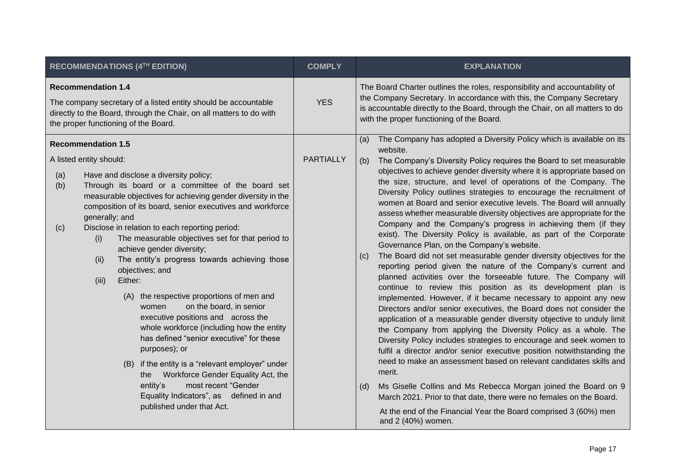| RECOMMENDATIONS (4TH EDITION)                                                                                                                                                                                                                                                                                                                                                                                                                                                                                                                                                                                                                                                                                                                                                                                                                                                                                                                                                                                      | <b>COMPLY</b>    | <b>EXPLANATION</b>                                                                                                                                                                                                                                                                                                                                                                                                                                                                                                                                                                                                                                                                                                                                                                                                                                                                                                                                                                                                                                                                                                                                                                                                                                                                                                                                                                                                                                                                                                                                                                                                                                                                                                                                                                      |
|--------------------------------------------------------------------------------------------------------------------------------------------------------------------------------------------------------------------------------------------------------------------------------------------------------------------------------------------------------------------------------------------------------------------------------------------------------------------------------------------------------------------------------------------------------------------------------------------------------------------------------------------------------------------------------------------------------------------------------------------------------------------------------------------------------------------------------------------------------------------------------------------------------------------------------------------------------------------------------------------------------------------|------------------|-----------------------------------------------------------------------------------------------------------------------------------------------------------------------------------------------------------------------------------------------------------------------------------------------------------------------------------------------------------------------------------------------------------------------------------------------------------------------------------------------------------------------------------------------------------------------------------------------------------------------------------------------------------------------------------------------------------------------------------------------------------------------------------------------------------------------------------------------------------------------------------------------------------------------------------------------------------------------------------------------------------------------------------------------------------------------------------------------------------------------------------------------------------------------------------------------------------------------------------------------------------------------------------------------------------------------------------------------------------------------------------------------------------------------------------------------------------------------------------------------------------------------------------------------------------------------------------------------------------------------------------------------------------------------------------------------------------------------------------------------------------------------------------------|
| <b>Recommendation 1.4</b><br>The company secretary of a listed entity should be accountable<br>directly to the Board, through the Chair, on all matters to do with<br>the proper functioning of the Board.                                                                                                                                                                                                                                                                                                                                                                                                                                                                                                                                                                                                                                                                                                                                                                                                         | <b>YES</b>       | The Board Charter outlines the roles, responsibility and accountability of<br>the Company Secretary. In accordance with this, the Company Secretary<br>is accountable directly to the Board, through the Chair, on all matters to do<br>with the proper functioning of the Board.                                                                                                                                                                                                                                                                                                                                                                                                                                                                                                                                                                                                                                                                                                                                                                                                                                                                                                                                                                                                                                                                                                                                                                                                                                                                                                                                                                                                                                                                                                       |
| <b>Recommendation 1.5</b><br>A listed entity should:<br>(a)<br>Have and disclose a diversity policy;<br>(b)<br>Through its board or a committee of the board set<br>measurable objectives for achieving gender diversity in the<br>composition of its board, senior executives and workforce<br>generally; and<br>Disclose in relation to each reporting period:<br>(c)<br>The measurable objectives set for that period to<br>(i)<br>achieve gender diversity;<br>The entity's progress towards achieving those<br>(ii)<br>objectives; and<br>Either:<br>(iii)<br>the respective proportions of men and<br>(A)<br>on the board, in senior<br>women<br>executive positions and across the<br>whole workforce (including how the entity<br>has defined "senior executive" for these<br>purposes); or<br>if the entity is a "relevant employer" under<br>(B)<br>Workforce Gender Equality Act, the<br>the<br>entity's<br>most recent "Gender<br>Equality Indicators", as defined in and<br>published under that Act. | <b>PARTIALLY</b> | The Company has adopted a Diversity Policy which is available on its<br>(a)<br>website.<br>The Company's Diversity Policy requires the Board to set measurable<br>(b)<br>objectives to achieve gender diversity where it is appropriate based on<br>the size, structure, and level of operations of the Company. The<br>Diversity Policy outlines strategies to encourage the recruitment of<br>women at Board and senior executive levels. The Board will annually<br>assess whether measurable diversity objectives are appropriate for the<br>Company and the Company's progress in achieving them (if they<br>exist). The Diversity Policy is available, as part of the Corporate<br>Governance Plan, on the Company's website.<br>The Board did not set measurable gender diversity objectives for the<br>(c)<br>reporting period given the nature of the Company's current and<br>planned activities over the forseeable future. The Company will<br>continue to review this position as its development plan is<br>implemented. However, if it became necessary to appoint any new<br>Directors and/or senior executives, the Board does not consider the<br>application of a measurable gender diversity objective to unduly limit<br>the Company from applying the Diversity Policy as a whole. The<br>Diversity Policy includes strategies to encourage and seek women to<br>fulfil a director and/or senior executive position notwithstanding the<br>need to make an assessment based on relevant candidates skills and<br>merit.<br>Ms Giselle Collins and Ms Rebecca Morgan joined the Board on 9<br>(d)<br>March 2021. Prior to that date, there were no females on the Board.<br>At the end of the Financial Year the Board comprised 3 (60%) men<br>and 2 (40%) women. |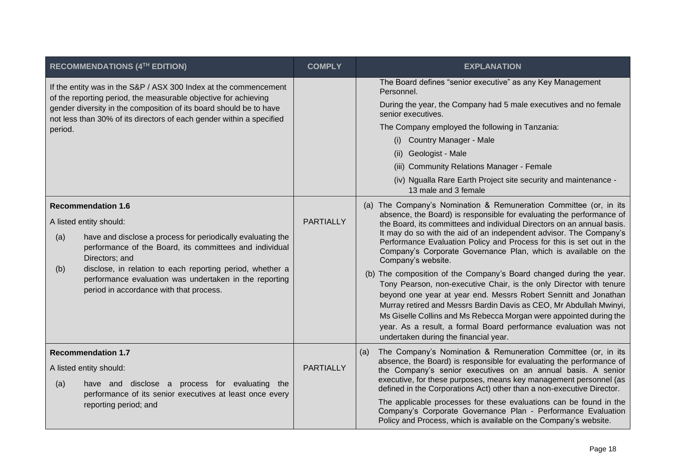|            | RECOMMENDATIONS (4TH EDITION)                                                                                                                                                                                                                                                                                                                                      | <b>COMPLY</b>    | <b>EXPLANATION</b>                                                                                                                                                                                                                                                                                                                                                                                                                                                                                                                                                                                                                                                                                                                                                                                                                                                                                                                  |
|------------|--------------------------------------------------------------------------------------------------------------------------------------------------------------------------------------------------------------------------------------------------------------------------------------------------------------------------------------------------------------------|------------------|-------------------------------------------------------------------------------------------------------------------------------------------------------------------------------------------------------------------------------------------------------------------------------------------------------------------------------------------------------------------------------------------------------------------------------------------------------------------------------------------------------------------------------------------------------------------------------------------------------------------------------------------------------------------------------------------------------------------------------------------------------------------------------------------------------------------------------------------------------------------------------------------------------------------------------------|
| period.    | If the entity was in the S&P / ASX 300 Index at the commencement<br>of the reporting period, the measurable objective for achieving<br>gender diversity in the composition of its board should be to have<br>not less than 30% of its directors of each gender within a specified                                                                                  |                  | The Board defines "senior executive" as any Key Management<br>Personnel.<br>During the year, the Company had 5 male executives and no female<br>senior executives.<br>The Company employed the following in Tanzania:<br><b>Country Manager - Male</b><br>(i)<br>(ii) Geologist - Male<br>(iii) Community Relations Manager - Female<br>(iv) Ngualla Rare Earth Project site security and maintenance -<br>13 male and 3 female                                                                                                                                                                                                                                                                                                                                                                                                                                                                                                     |
| (a)<br>(b) | <b>Recommendation 1.6</b><br>A listed entity should:<br>have and disclose a process for periodically evaluating the<br>performance of the Board, its committees and individual<br>Directors; and<br>disclose, in relation to each reporting period, whether a<br>performance evaluation was undertaken in the reporting<br>period in accordance with that process. | <b>PARTIALLY</b> | (a) The Company's Nomination & Remuneration Committee (or, in its<br>absence, the Board) is responsible for evaluating the performance of<br>the Board, its committees and individual Directors on an annual basis.<br>It may do so with the aid of an independent advisor. The Company's<br>Performance Evaluation Policy and Process for this is set out in the<br>Company's Corporate Governance Plan, which is available on the<br>Company's website.<br>(b) The composition of the Company's Board changed during the year.<br>Tony Pearson, non-executive Chair, is the only Director with tenure<br>beyond one year at year end. Messrs Robert Sennitt and Jonathan<br>Murray retired and Messrs Bardin Davis as CEO, Mr Abdullah Mwinyi,<br>Ms Giselle Collins and Ms Rebecca Morgan were appointed during the<br>year. As a result, a formal Board performance evaluation was not<br>undertaken during the financial year. |
| (a)        | <b>Recommendation 1.7</b><br>A listed entity should:<br>have and disclose a process for evaluating the<br>performance of its senior executives at least once every<br>reporting period; and                                                                                                                                                                        | <b>PARTIALLY</b> | The Company's Nomination & Remuneration Committee (or, in its<br>(a)<br>absence, the Board) is responsible for evaluating the performance of<br>the Company's senior executives on an annual basis. A senior<br>executive, for these purposes, means key management personnel (as<br>defined in the Corporations Act) other than a non-executive Director.<br>The applicable processes for these evaluations can be found in the<br>Company's Corporate Governance Plan - Performance Evaluation<br>Policy and Process, which is available on the Company's website.                                                                                                                                                                                                                                                                                                                                                                |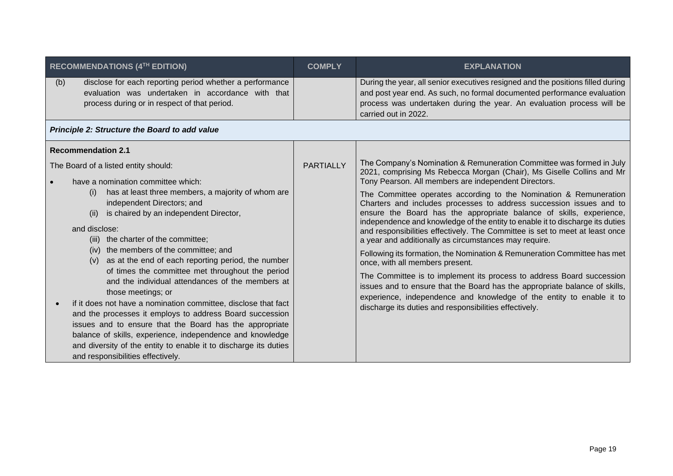| <b>RECOMMENDATIONS (4TH EDITION)</b>                                                                                                                                                                                                                                                                                                                                                                                                                                                      | <b>COMPLY</b>    | <b>EXPLANATION</b>                                                                                                                                                                                                                                                                                                                                                                                                                                                                  |
|-------------------------------------------------------------------------------------------------------------------------------------------------------------------------------------------------------------------------------------------------------------------------------------------------------------------------------------------------------------------------------------------------------------------------------------------------------------------------------------------|------------------|-------------------------------------------------------------------------------------------------------------------------------------------------------------------------------------------------------------------------------------------------------------------------------------------------------------------------------------------------------------------------------------------------------------------------------------------------------------------------------------|
| disclose for each reporting period whether a performance<br>(b)<br>evaluation was undertaken in accordance with that<br>process during or in respect of that period.                                                                                                                                                                                                                                                                                                                      |                  | During the year, all senior executives resigned and the positions filled during<br>and post year end. As such, no formal documented performance evaluation<br>process was undertaken during the year. An evaluation process will be<br>carried out in 2022.                                                                                                                                                                                                                         |
| Principle 2: Structure the Board to add value                                                                                                                                                                                                                                                                                                                                                                                                                                             |                  |                                                                                                                                                                                                                                                                                                                                                                                                                                                                                     |
| <b>Recommendation 2.1</b><br>The Board of a listed entity should:<br>have a nomination committee which:<br>has at least three members, a majority of whom are<br>(i)<br>independent Directors; and                                                                                                                                                                                                                                                                                        | <b>PARTIALLY</b> | The Company's Nomination & Remuneration Committee was formed in July<br>2021, comprising Ms Rebecca Morgan (Chair), Ms Giselle Collins and Mr<br>Tony Pearson. All members are independent Directors.<br>The Committee operates according to the Nomination & Remuneration                                                                                                                                                                                                          |
| is chaired by an independent Director,<br>(ii)<br>and disclose:<br>(iii) the charter of the committee;<br>(iv) the members of the committee; and<br>as at the end of each reporting period, the number<br>(V)                                                                                                                                                                                                                                                                             |                  | Charters and includes processes to address succession issues and to<br>ensure the Board has the appropriate balance of skills, experience,<br>independence and knowledge of the entity to enable it to discharge its duties<br>and responsibilities effectively. The Committee is set to meet at least once<br>a year and additionally as circumstances may require.<br>Following its formation, the Nomination & Remuneration Committee has met<br>once, with all members present. |
| of times the committee met throughout the period<br>and the individual attendances of the members at<br>those meetings; or<br>if it does not have a nomination committee, disclose that fact<br>and the processes it employs to address Board succession<br>issues and to ensure that the Board has the appropriate<br>balance of skills, experience, independence and knowledge<br>and diversity of the entity to enable it to discharge its duties<br>and responsibilities effectively. |                  | The Committee is to implement its process to address Board succession<br>issues and to ensure that the Board has the appropriate balance of skills,<br>experience, independence and knowledge of the entity to enable it to<br>discharge its duties and responsibilities effectively.                                                                                                                                                                                               |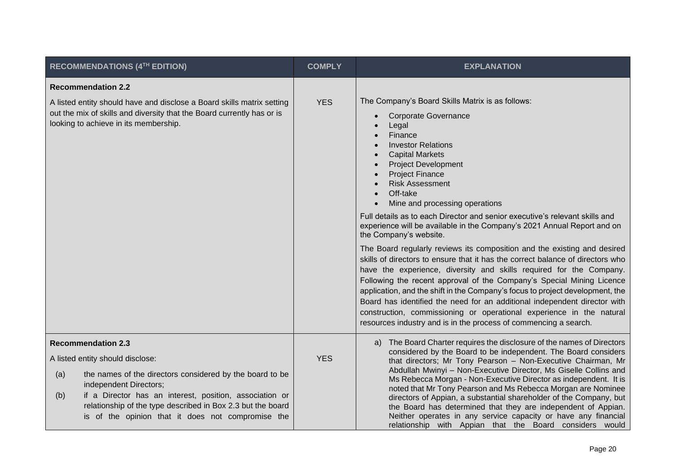| <b>RECOMMENDATIONS (4TH EDITION)</b>                                                                                                                                                                                                                                            | <b>COMPLY</b> | <b>EXPLANATION</b>                                                                                                                                                                                                                                                                                                                                                                                                                                                                                                                                                                                                                                        |
|---------------------------------------------------------------------------------------------------------------------------------------------------------------------------------------------------------------------------------------------------------------------------------|---------------|-----------------------------------------------------------------------------------------------------------------------------------------------------------------------------------------------------------------------------------------------------------------------------------------------------------------------------------------------------------------------------------------------------------------------------------------------------------------------------------------------------------------------------------------------------------------------------------------------------------------------------------------------------------|
| <b>Recommendation 2.2</b>                                                                                                                                                                                                                                                       |               |                                                                                                                                                                                                                                                                                                                                                                                                                                                                                                                                                                                                                                                           |
| A listed entity should have and disclose a Board skills matrix setting<br>out the mix of skills and diversity that the Board currently has or is<br>looking to achieve in its membership.                                                                                       | <b>YES</b>    | The Company's Board Skills Matrix is as follows:<br><b>Corporate Governance</b><br>$\bullet$<br>Legal<br>Finance<br><b>Investor Relations</b><br><b>Capital Markets</b><br><b>Project Development</b><br><b>Project Finance</b><br><b>Risk Assessment</b><br>Off-take<br>Mine and processing operations<br>Full details as to each Director and senior executive's relevant skills and<br>experience will be available in the Company's 2021 Annual Report and on<br>the Company's website.<br>The Board regularly reviews its composition and the existing and desired<br>skills of directors to ensure that it has the correct balance of directors who |
|                                                                                                                                                                                                                                                                                 |               | have the experience, diversity and skills required for the Company.<br>Following the recent approval of the Company's Special Mining Licence<br>application, and the shift in the Company's focus to project development, the<br>Board has identified the need for an additional independent director with<br>construction, commissioning or operational experience in the natural<br>resources industry and is in the process of commencing a search.                                                                                                                                                                                                    |
| <b>Recommendation 2.3</b>                                                                                                                                                                                                                                                       |               | The Board Charter requires the disclosure of the names of Directors<br>a)<br>considered by the Board to be independent. The Board considers                                                                                                                                                                                                                                                                                                                                                                                                                                                                                                               |
| A listed entity should disclose:                                                                                                                                                                                                                                                | <b>YES</b>    | that directors; Mr Tony Pearson - Non-Executive Chairman, Mr<br>Abdullah Mwinyi - Non-Executive Director, Ms Giselle Collins and<br>Ms Rebecca Morgan - Non-Executive Director as independent. It is<br>noted that Mr Tony Pearson and Ms Rebecca Morgan are Nominee<br>directors of Appian, a substantial shareholder of the Company, but<br>the Board has determined that they are independent of Appian.<br>Neither operates in any service capacity or have any financial<br>relationship with Appian that the Board considers would                                                                                                                  |
| the names of the directors considered by the board to be<br>(a)<br>independent Directors;<br>if a Director has an interest, position, association or<br>(b)<br>relationship of the type described in Box 2.3 but the board<br>is of the opinion that it does not compromise the |               |                                                                                                                                                                                                                                                                                                                                                                                                                                                                                                                                                                                                                                                           |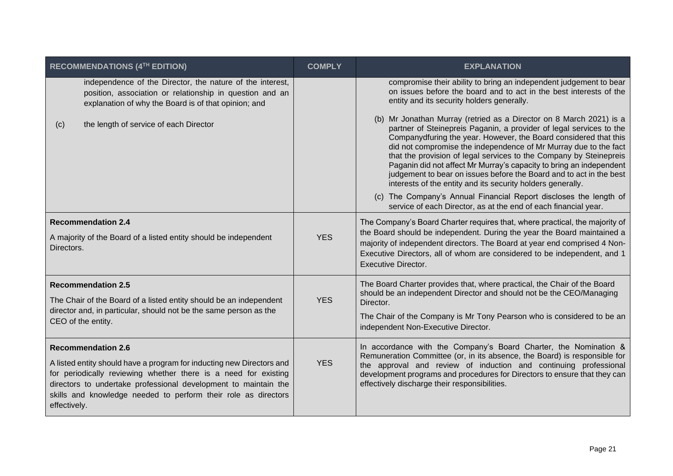| <b>RECOMMENDATIONS (4TH EDITION)</b>                                                                                                                                                                                                                                                          | <b>COMPLY</b> | <b>EXPLANATION</b>                                                                                                                                                                                                                                                                                                                                                                                                      |
|-----------------------------------------------------------------------------------------------------------------------------------------------------------------------------------------------------------------------------------------------------------------------------------------------|---------------|-------------------------------------------------------------------------------------------------------------------------------------------------------------------------------------------------------------------------------------------------------------------------------------------------------------------------------------------------------------------------------------------------------------------------|
| independence of the Director, the nature of the interest,<br>position, association or relationship in question and an<br>explanation of why the Board is of that opinion; and<br>the length of service of each Director<br>(c)                                                                |               | compromise their ability to bring an independent judgement to bear<br>on issues before the board and to act in the best interests of the<br>entity and its security holders generally.<br>(b) Mr Jonathan Murray (retried as a Director on 8 March 2021) is a<br>partner of Steinepreis Paganin, a provider of legal services to the                                                                                    |
|                                                                                                                                                                                                                                                                                               |               | Companydfuring the year. However, the Board considered that this<br>did not compromise the independence of Mr Murray due to the fact<br>that the provision of legal services to the Company by Steinepreis<br>Paganin did not affect Mr Murray's capacity to bring an independent<br>judgement to bear on issues before the Board and to act in the best<br>interests of the entity and its security holders generally. |
|                                                                                                                                                                                                                                                                                               |               | (c) The Company's Annual Financial Report discloses the length of<br>service of each Director, as at the end of each financial year.                                                                                                                                                                                                                                                                                    |
| <b>Recommendation 2.4</b>                                                                                                                                                                                                                                                                     |               | The Company's Board Charter requires that, where practical, the majority of<br>the Board should be independent. During the year the Board maintained a                                                                                                                                                                                                                                                                  |
| A majority of the Board of a listed entity should be independent<br>Directors.                                                                                                                                                                                                                | <b>YES</b>    | majority of independent directors. The Board at year end comprised 4 Non-<br>Executive Directors, all of whom are considered to be independent, and 1<br><b>Executive Director.</b>                                                                                                                                                                                                                                     |
| <b>Recommendation 2.5</b><br>The Chair of the Board of a listed entity should be an independent                                                                                                                                                                                               | <b>YES</b>    | The Board Charter provides that, where practical, the Chair of the Board<br>should be an independent Director and should not be the CEO/Managing<br>Director.                                                                                                                                                                                                                                                           |
| director and, in particular, should not be the same person as the<br>CEO of the entity.                                                                                                                                                                                                       |               | The Chair of the Company is Mr Tony Pearson who is considered to be an<br>independent Non-Executive Director.                                                                                                                                                                                                                                                                                                           |
| <b>Recommendation 2.6</b>                                                                                                                                                                                                                                                                     |               | In accordance with the Company's Board Charter, the Nomination &<br>Remuneration Committee (or, in its absence, the Board) is responsible for                                                                                                                                                                                                                                                                           |
| A listed entity should have a program for inducting new Directors and<br>for periodically reviewing whether there is a need for existing<br>directors to undertake professional development to maintain the<br>skills and knowledge needed to perform their role as directors<br>effectively. | <b>YES</b>    | the approval and review of induction and continuing professional<br>development programs and procedures for Directors to ensure that they can<br>effectively discharge their responsibilities.                                                                                                                                                                                                                          |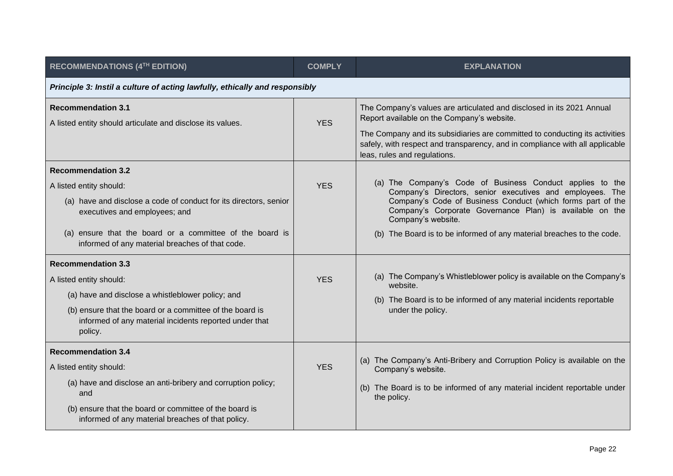| RECOMMENDATIONS (4TH EDITION)                                                                                                                                                                                                                                             | <b>COMPLY</b> | <b>EXPLANATION</b>                                                                                                                                                                                                                                                                                                                               |
|---------------------------------------------------------------------------------------------------------------------------------------------------------------------------------------------------------------------------------------------------------------------------|---------------|--------------------------------------------------------------------------------------------------------------------------------------------------------------------------------------------------------------------------------------------------------------------------------------------------------------------------------------------------|
| Principle 3: Instil a culture of acting lawfully, ethically and responsibly                                                                                                                                                                                               |               |                                                                                                                                                                                                                                                                                                                                                  |
| <b>Recommendation 3.1</b><br>A listed entity should articulate and disclose its values.                                                                                                                                                                                   | <b>YES</b>    | The Company's values are articulated and disclosed in its 2021 Annual<br>Report available on the Company's website.<br>The Company and its subsidiaries are committed to conducting its activities<br>safely, with respect and transparency, and in compliance with all applicable<br>leas, rules and regulations.                               |
| <b>Recommendation 3.2</b><br>A listed entity should:<br>(a) have and disclose a code of conduct for its directors, senior<br>executives and employees; and<br>(a) ensure that the board or a committee of the board is<br>informed of any material breaches of that code. | <b>YES</b>    | (a) The Company's Code of Business Conduct applies to the<br>Company's Directors, senior executives and employees. The<br>Company's Code of Business Conduct (which forms part of the<br>Company's Corporate Governance Plan) is available on the<br>Company's website.<br>(b) The Board is to be informed of any material breaches to the code. |
| <b>Recommendation 3.3</b><br>A listed entity should:<br>(a) have and disclose a whistleblower policy; and<br>(b) ensure that the board or a committee of the board is<br>informed of any material incidents reported under that<br>policy.                                | <b>YES</b>    | (a) The Company's Whistleblower policy is available on the Company's<br>website.<br>(b) The Board is to be informed of any material incidents reportable<br>under the policy.                                                                                                                                                                    |
| <b>Recommendation 3.4</b><br>A listed entity should:<br>(a) have and disclose an anti-bribery and corruption policy;<br>and<br>(b) ensure that the board or committee of the board is<br>informed of any material breaches of that policy.                                | <b>YES</b>    | (a) The Company's Anti-Bribery and Corruption Policy is available on the<br>Company's website.<br>(b) The Board is to be informed of any material incident reportable under<br>the policy.                                                                                                                                                       |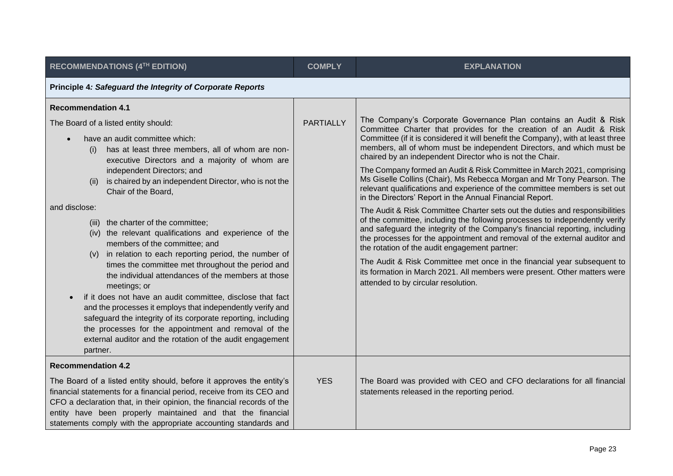| <b>RECOMMENDATIONS (4TH EDITION)</b>                                                                                                                                                                                                                                                                                                                                                                                                                                              | <b>COMPLY</b>    | <b>EXPLANATION</b>                                                                                                                                                                                                                                                                                                                                                                                                                                                                                                                                                     |
|-----------------------------------------------------------------------------------------------------------------------------------------------------------------------------------------------------------------------------------------------------------------------------------------------------------------------------------------------------------------------------------------------------------------------------------------------------------------------------------|------------------|------------------------------------------------------------------------------------------------------------------------------------------------------------------------------------------------------------------------------------------------------------------------------------------------------------------------------------------------------------------------------------------------------------------------------------------------------------------------------------------------------------------------------------------------------------------------|
| Principle 4: Safeguard the Integrity of Corporate Reports                                                                                                                                                                                                                                                                                                                                                                                                                         |                  |                                                                                                                                                                                                                                                                                                                                                                                                                                                                                                                                                                        |
| <b>Recommendation 4.1</b><br>The Board of a listed entity should:                                                                                                                                                                                                                                                                                                                                                                                                                 | <b>PARTIALLY</b> | The Company's Corporate Governance Plan contains an Audit & Risk                                                                                                                                                                                                                                                                                                                                                                                                                                                                                                       |
| have an audit committee which:<br>has at least three members, all of whom are non-<br>(i)<br>executive Directors and a majority of whom are                                                                                                                                                                                                                                                                                                                                       |                  | Committee Charter that provides for the creation of an Audit & Risk<br>Committee (if it is considered it will benefit the Company), with at least three<br>members, all of whom must be independent Directors, and which must be<br>chaired by an independent Director who is not the Chair.                                                                                                                                                                                                                                                                           |
| independent Directors; and<br>is chaired by an independent Director, who is not the<br>(ii)<br>Chair of the Board,                                                                                                                                                                                                                                                                                                                                                                |                  | The Company formed an Audit & Risk Committee in March 2021, comprising<br>Ms Giselle Collins (Chair), Ms Rebecca Morgan and Mr Tony Pearson. The<br>relevant qualifications and experience of the committee members is set out<br>in the Directors' Report in the Annual Financial Report.                                                                                                                                                                                                                                                                             |
| and disclose:<br>(iii) the charter of the committee;<br>(iv) the relevant qualifications and experience of the<br>members of the committee; and<br>in relation to each reporting period, the number of<br>(V)<br>times the committee met throughout the period and<br>the individual attendances of the members at those<br>meetings; or<br>if it does not have an audit committee, disclose that fact<br>$\bullet$<br>and the processes it employs that independently verify and |                  | The Audit & Risk Committee Charter sets out the duties and responsibilities<br>of the committee, including the following processes to independently verify<br>and safeguard the integrity of the Company's financial reporting, including<br>the processes for the appointment and removal of the external auditor and<br>the rotation of the audit engagement partner:<br>The Audit & Risk Committee met once in the financial year subsequent to<br>its formation in March 2021. All members were present. Other matters were<br>attended to by circular resolution. |
| safeguard the integrity of its corporate reporting, including<br>the processes for the appointment and removal of the<br>external auditor and the rotation of the audit engagement<br>partner.                                                                                                                                                                                                                                                                                    |                  |                                                                                                                                                                                                                                                                                                                                                                                                                                                                                                                                                                        |
| <b>Recommendation 4.2</b>                                                                                                                                                                                                                                                                                                                                                                                                                                                         |                  |                                                                                                                                                                                                                                                                                                                                                                                                                                                                                                                                                                        |
| The Board of a listed entity should, before it approves the entity's<br>financial statements for a financial period, receive from its CEO and<br>CFO a declaration that, in their opinion, the financial records of the<br>entity have been properly maintained and that the financial<br>statements comply with the appropriate accounting standards and                                                                                                                         | <b>YES</b>       | The Board was provided with CEO and CFO declarations for all financial<br>statements released in the reporting period.                                                                                                                                                                                                                                                                                                                                                                                                                                                 |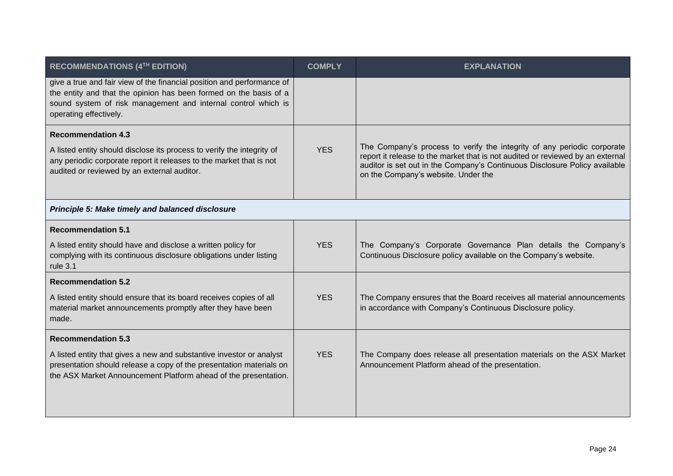| <b>RECOMMENDATIONS (4TH EDITION)</b>                                                                                                                                                                                                   | <b>COMPLY</b> | <b>EXPLANATION</b>                                                                                                                                                                                                                                                             |
|----------------------------------------------------------------------------------------------------------------------------------------------------------------------------------------------------------------------------------------|---------------|--------------------------------------------------------------------------------------------------------------------------------------------------------------------------------------------------------------------------------------------------------------------------------|
| give a true and fair view of the financial position and performance of<br>the entity and that the opinion has been formed on the basis of a<br>sound system of risk management and internal control which is<br>operating effectively. |               |                                                                                                                                                                                                                                                                                |
| <b>Recommendation 4.3</b><br>A listed entity should disclose its process to verify the integrity of<br>any periodic corporate report it releases to the market that is not<br>audited or reviewed by an external auditor.              | <b>YES</b>    | The Company's process to verify the integrity of any periodic corporate<br>report it release to the market that is not audited or reviewed by an external<br>auditor is set out in the Company's Continuous Disclosure Policy available<br>on the Company's website. Under the |
| Principle 5: Make timely and balanced disclosure                                                                                                                                                                                       |               |                                                                                                                                                                                                                                                                                |
| <b>Recommendation 5.1</b>                                                                                                                                                                                                              |               |                                                                                                                                                                                                                                                                                |
| A listed entity should have and disclose a written policy for<br>complying with its continuous disclosure obligations under listing<br>rule 3.1                                                                                        | <b>YES</b>    | The Company's Corporate Governance Plan details the Company's<br>Continuous Disclosure policy available on the Company's website.                                                                                                                                              |
| <b>Recommendation 5.2</b>                                                                                                                                                                                                              |               |                                                                                                                                                                                                                                                                                |
| A listed entity should ensure that its board receives copies of all<br>material market announcements promptly after they have been<br>made.                                                                                            | <b>YES</b>    | The Company ensures that the Board receives all material announcements<br>in accordance with Company's Continuous Disclosure policy.                                                                                                                                           |
| <b>Recommendation 5.3</b>                                                                                                                                                                                                              |               |                                                                                                                                                                                                                                                                                |
| A listed entity that gives a new and substantive investor or analyst<br>presentation should release a copy of the presentation materials on<br>the ASX Market Announcement Platform ahead of the presentation.                         | <b>YES</b>    | The Company does release all presentation materials on the ASX Market<br>Announcement Platform ahead of the presentation.                                                                                                                                                      |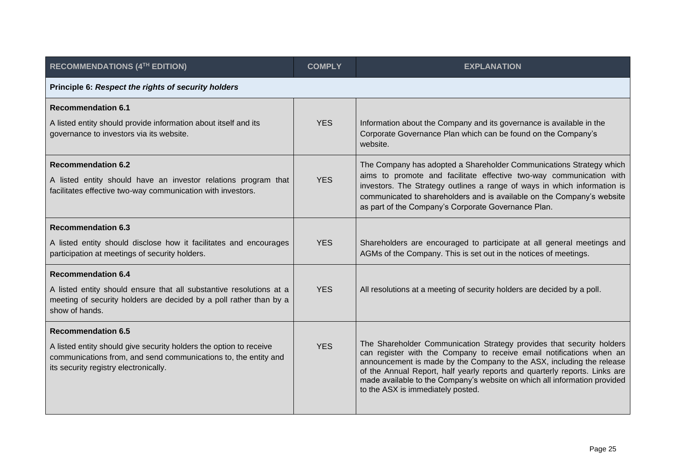| <b>RECOMMENDATIONS (4TH EDITION)</b>                                                                                                                                           | <b>COMPLY</b> | <b>EXPLANATION</b>                                                                                                                                                                                                                                                                                                                                                                                                     |  |
|--------------------------------------------------------------------------------------------------------------------------------------------------------------------------------|---------------|------------------------------------------------------------------------------------------------------------------------------------------------------------------------------------------------------------------------------------------------------------------------------------------------------------------------------------------------------------------------------------------------------------------------|--|
| Principle 6: Respect the rights of security holders                                                                                                                            |               |                                                                                                                                                                                                                                                                                                                                                                                                                        |  |
| <b>Recommendation 6.1</b>                                                                                                                                                      |               |                                                                                                                                                                                                                                                                                                                                                                                                                        |  |
| A listed entity should provide information about itself and its<br>governance to investors via its website.                                                                    | <b>YES</b>    | Information about the Company and its governance is available in the<br>Corporate Governance Plan which can be found on the Company's<br>website.                                                                                                                                                                                                                                                                      |  |
| <b>Recommendation 6.2</b><br>A listed entity should have an investor relations program that<br>facilitates effective two-way communication with investors.                     | <b>YES</b>    | The Company has adopted a Shareholder Communications Strategy which<br>aims to promote and facilitate effective two-way communication with<br>investors. The Strategy outlines a range of ways in which information is<br>communicated to shareholders and is available on the Company's website<br>as part of the Company's Corporate Governance Plan.                                                                |  |
| <b>Recommendation 6.3</b>                                                                                                                                                      |               |                                                                                                                                                                                                                                                                                                                                                                                                                        |  |
| A listed entity should disclose how it facilitates and encourages<br>participation at meetings of security holders.                                                            | <b>YES</b>    | Shareholders are encouraged to participate at all general meetings and<br>AGMs of the Company. This is set out in the notices of meetings.                                                                                                                                                                                                                                                                             |  |
| <b>Recommendation 6.4</b>                                                                                                                                                      |               |                                                                                                                                                                                                                                                                                                                                                                                                                        |  |
| A listed entity should ensure that all substantive resolutions at a<br>meeting of security holders are decided by a poll rather than by a<br>show of hands.                    | <b>YES</b>    | All resolutions at a meeting of security holders are decided by a poll.                                                                                                                                                                                                                                                                                                                                                |  |
| <b>Recommendation 6.5</b>                                                                                                                                                      |               |                                                                                                                                                                                                                                                                                                                                                                                                                        |  |
| A listed entity should give security holders the option to receive<br>communications from, and send communications to, the entity and<br>its security registry electronically. | <b>YES</b>    | The Shareholder Communication Strategy provides that security holders<br>can register with the Company to receive email notifications when an<br>announcement is made by the Company to the ASX, including the release<br>of the Annual Report, half yearly reports and quarterly reports. Links are<br>made available to the Company's website on which all information provided<br>to the ASX is immediately posted. |  |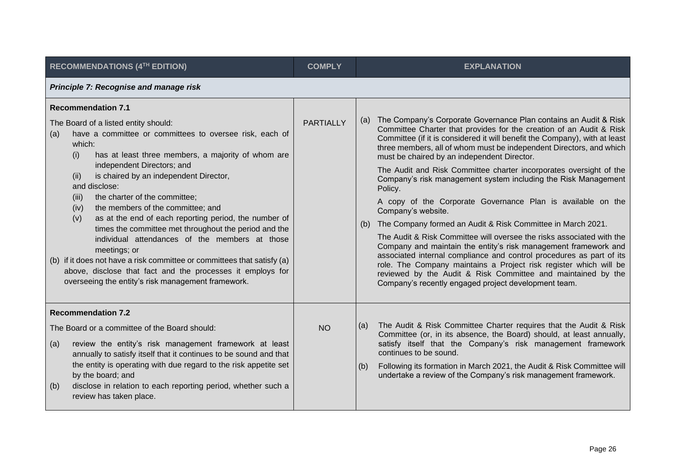| RECOMMENDATIONS (4TH EDITION)                                                                                                                                                                                                                                                                                                                                                                                                                                                                                                                                                                                                                                                                                                                                                                | <b>COMPLY</b>    | <b>EXPLANATION</b>                                                                                                                                                                                                                                                                                                                                                                                                                                                                                                                                                                                                                                                                                                                                                                                                                                                                                                                                                                                                                                                                |
|----------------------------------------------------------------------------------------------------------------------------------------------------------------------------------------------------------------------------------------------------------------------------------------------------------------------------------------------------------------------------------------------------------------------------------------------------------------------------------------------------------------------------------------------------------------------------------------------------------------------------------------------------------------------------------------------------------------------------------------------------------------------------------------------|------------------|-----------------------------------------------------------------------------------------------------------------------------------------------------------------------------------------------------------------------------------------------------------------------------------------------------------------------------------------------------------------------------------------------------------------------------------------------------------------------------------------------------------------------------------------------------------------------------------------------------------------------------------------------------------------------------------------------------------------------------------------------------------------------------------------------------------------------------------------------------------------------------------------------------------------------------------------------------------------------------------------------------------------------------------------------------------------------------------|
| Principle 7: Recognise and manage risk                                                                                                                                                                                                                                                                                                                                                                                                                                                                                                                                                                                                                                                                                                                                                       |                  |                                                                                                                                                                                                                                                                                                                                                                                                                                                                                                                                                                                                                                                                                                                                                                                                                                                                                                                                                                                                                                                                                   |
| <b>Recommendation 7.1</b><br>The Board of a listed entity should:<br>have a committee or committees to oversee risk, each of<br>(a)<br>which:<br>has at least three members, a majority of whom are<br>(i)<br>independent Directors; and<br>is chaired by an independent Director,<br>(ii)<br>and disclose:<br>the charter of the committee;<br>(iii)<br>the members of the committee; and<br>(iv)<br>as at the end of each reporting period, the number of<br>(v)<br>times the committee met throughout the period and the<br>individual attendances of the members at those<br>meetings; or<br>(b) if it does not have a risk committee or committees that satisfy (a)<br>above, disclose that fact and the processes it employs for<br>overseeing the entity's risk management framework. | <b>PARTIALLY</b> | The Company's Corporate Governance Plan contains an Audit & Risk<br>(a)<br>Committee Charter that provides for the creation of an Audit & Risk<br>Committee (if it is considered it will benefit the Company), with at least<br>three members, all of whom must be independent Directors, and which<br>must be chaired by an independent Director.<br>The Audit and Risk Committee charter incorporates oversight of the<br>Company's risk management system including the Risk Management<br>Policy.<br>A copy of the Corporate Governance Plan is available on the<br>Company's website.<br>The Company formed an Audit & Risk Committee in March 2021.<br>(b)<br>The Audit & Risk Committee will oversee the risks associated with the<br>Company and maintain the entity's risk management framework and<br>associated internal compliance and control procedures as part of its<br>role. The Company maintains a Project risk register which will be<br>reviewed by the Audit & Risk Committee and maintained by the<br>Company's recently engaged project development team. |
| <b>Recommendation 7.2</b><br>The Board or a committee of the Board should:                                                                                                                                                                                                                                                                                                                                                                                                                                                                                                                                                                                                                                                                                                                   | <b>NO</b>        | The Audit & Risk Committee Charter requires that the Audit & Risk<br>(a)<br>Committee (or, in its absence, the Board) should, at least annually,                                                                                                                                                                                                                                                                                                                                                                                                                                                                                                                                                                                                                                                                                                                                                                                                                                                                                                                                  |
| review the entity's risk management framework at least<br>(a)<br>annually to satisfy itself that it continues to be sound and that<br>the entity is operating with due regard to the risk appetite set<br>by the board; and<br>disclose in relation to each reporting period, whether such a<br>(b)<br>review has taken place.                                                                                                                                                                                                                                                                                                                                                                                                                                                               |                  | satisfy itself that the Company's risk management framework<br>continues to be sound.<br>Following its formation in March 2021, the Audit & Risk Committee will<br>(b)<br>undertake a review of the Company's risk management framework.                                                                                                                                                                                                                                                                                                                                                                                                                                                                                                                                                                                                                                                                                                                                                                                                                                          |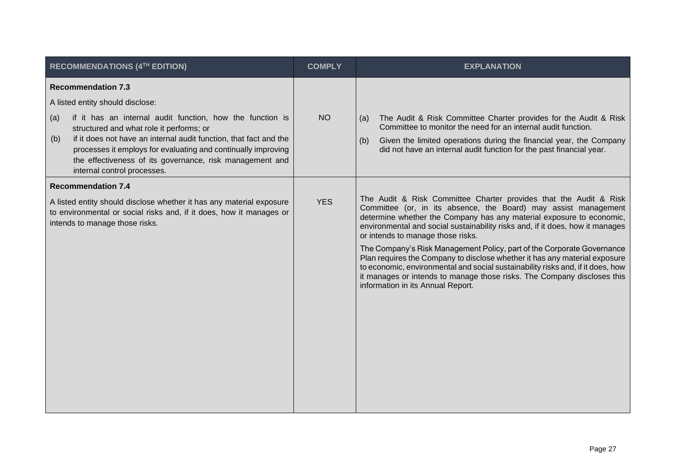| RECOMMENDATIONS (4TH EDITION)                                                                                                                                                                                                                                                                                                                                                                                         | <b>COMPLY</b> | <b>EXPLANATION</b>                                                                                                                                                                                                                                                                                                                                                                                                                                                                                                                                                                                                                                                                            |
|-----------------------------------------------------------------------------------------------------------------------------------------------------------------------------------------------------------------------------------------------------------------------------------------------------------------------------------------------------------------------------------------------------------------------|---------------|-----------------------------------------------------------------------------------------------------------------------------------------------------------------------------------------------------------------------------------------------------------------------------------------------------------------------------------------------------------------------------------------------------------------------------------------------------------------------------------------------------------------------------------------------------------------------------------------------------------------------------------------------------------------------------------------------|
| <b>Recommendation 7.3</b><br>A listed entity should disclose:<br>if it has an internal audit function, how the function is<br>(a)<br>structured and what role it performs; or<br>if it does not have an internal audit function, that fact and the<br>(b)<br>processes it employs for evaluating and continually improving<br>the effectiveness of its governance, risk management and<br>internal control processes. | <b>NO</b>     | The Audit & Risk Committee Charter provides for the Audit & Risk<br>(a)<br>Committee to monitor the need for an internal audit function.<br>Given the limited operations during the financial year, the Company<br>(b)<br>did not have an internal audit function for the past financial year.                                                                                                                                                                                                                                                                                                                                                                                                |
| <b>Recommendation 7.4</b><br>A listed entity should disclose whether it has any material exposure<br>to environmental or social risks and, if it does, how it manages or<br>intends to manage those risks.                                                                                                                                                                                                            | <b>YES</b>    | The Audit & Risk Committee Charter provides that the Audit & Risk<br>Committee (or, in its absence, the Board) may assist management<br>determine whether the Company has any material exposure to economic,<br>environmental and social sustainability risks and, if it does, how it manages<br>or intends to manage those risks.<br>The Company's Risk Management Policy, part of the Corporate Governance<br>Plan requires the Company to disclose whether it has any material exposure<br>to economic, environmental and social sustainability risks and, if it does, how<br>it manages or intends to manage those risks. The Company discloses this<br>information in its Annual Report. |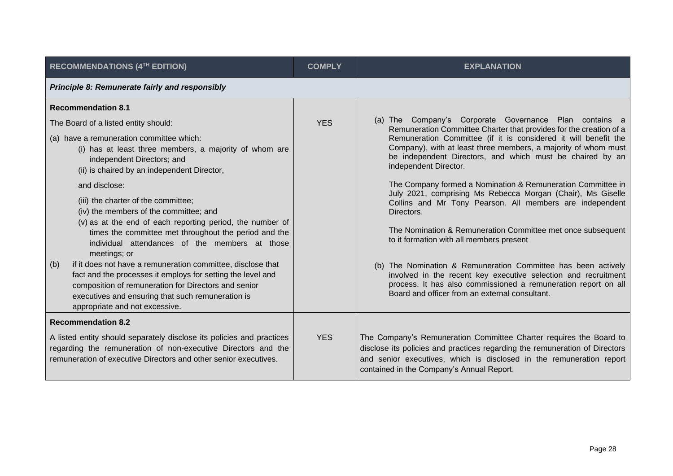| RECOMMENDATIONS (4TH EDITION)                                                                                                                                                                                                                                                                                                                      | <b>COMPLY</b> | <b>EXPLANATION</b>                                                                                                                                                                                                                                                                                                                                      |  |
|----------------------------------------------------------------------------------------------------------------------------------------------------------------------------------------------------------------------------------------------------------------------------------------------------------------------------------------------------|---------------|---------------------------------------------------------------------------------------------------------------------------------------------------------------------------------------------------------------------------------------------------------------------------------------------------------------------------------------------------------|--|
| <b>Principle 8: Remunerate fairly and responsibly</b>                                                                                                                                                                                                                                                                                              |               |                                                                                                                                                                                                                                                                                                                                                         |  |
| <b>Recommendation 8.1</b>                                                                                                                                                                                                                                                                                                                          |               |                                                                                                                                                                                                                                                                                                                                                         |  |
| The Board of a listed entity should:                                                                                                                                                                                                                                                                                                               | <b>YES</b>    | (a) The Company's Corporate Governance Plan contains a<br>Remuneration Committee Charter that provides for the creation of a<br>Remuneration Committee (if it is considered it will benefit the<br>Company), with at least three members, a majority of whom must<br>be independent Directors, and which must be chaired by an<br>independent Director. |  |
| (a) have a remuneration committee which:<br>(i) has at least three members, a majority of whom are<br>independent Directors; and<br>(ii) is chaired by an independent Director,                                                                                                                                                                    |               |                                                                                                                                                                                                                                                                                                                                                         |  |
| and disclose:<br>(iii) the charter of the committee;<br>(iv) the members of the committee; and<br>(v) as at the end of each reporting period, the number of<br>times the committee met throughout the period and the                                                                                                                               |               | The Company formed a Nomination & Remuneration Committee in<br>July 2021, comprising Ms Rebecca Morgan (Chair), Ms Giselle<br>Collins and Mr Tony Pearson. All members are independent<br>Directors.<br>The Nomination & Remuneration Committee met once subsequent                                                                                     |  |
| individual attendances of the members at those<br>meetings; or<br>if it does not have a remuneration committee, disclose that<br>(b)<br>fact and the processes it employs for setting the level and<br>composition of remuneration for Directors and senior<br>executives and ensuring that such remuneration is<br>appropriate and not excessive. |               | to it formation with all members present<br>(b) The Nomination & Remuneration Committee has been actively<br>involved in the recent key executive selection and recruitment<br>process. It has also commissioned a remuneration report on all<br>Board and officer from an external consultant.                                                         |  |
| <b>Recommendation 8.2</b>                                                                                                                                                                                                                                                                                                                          |               |                                                                                                                                                                                                                                                                                                                                                         |  |
| A listed entity should separately disclose its policies and practices<br>regarding the remuneration of non-executive Directors and the<br>remuneration of executive Directors and other senior executives.                                                                                                                                         | <b>YES</b>    | The Company's Remuneration Committee Charter requires the Board to<br>disclose its policies and practices regarding the remuneration of Directors<br>and senior executives, which is disclosed in the remuneration report<br>contained in the Company's Annual Report.                                                                                  |  |